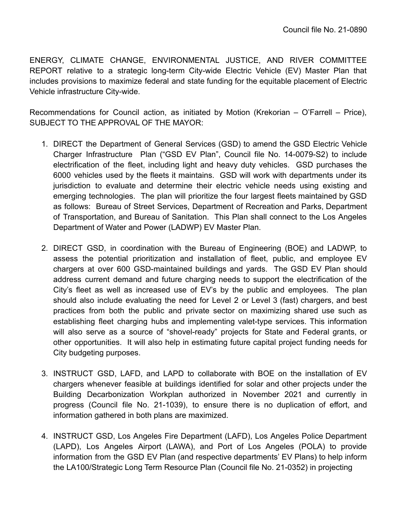ENERGY, CLIMATE CHANGE, ENVIRONMENTAL JUSTICE, AND RIVER COMMITTEE REPORT relative to a strategic long-term City-wide Electric Vehicle (EV) Master Plan that includes provisions to maximize federal and state funding for the equitable placement of Electric Vehicle infrastructure City-wide.

Recommendations for Council action, as initiated by Motion (Krekorian – O'Farrell – Price), SUBJECT TO THE APPROVAL OF THE MAYOR:

- 1. DIRECT the Department of General Services (GSD) to amend the GSD Electric Vehicle Charger Infrastructure Plan ("GSD EV Plan", Council file No. 14-0079-S2) to include electrification of the fleet, including light and heavy duty vehicles. GSD purchases the 6000 vehicles used by the fleets it maintains. GSD will work with departments under its jurisdiction to evaluate and determine their electric vehicle needs using existing and emerging technologies. The plan will prioritize the four largest fleets maintained by GSD as follows: Bureau of Street Services, Department of Recreation and Parks, Department of Transportation, and Bureau of Sanitation. This Plan shall connect to the Los Angeles Department of Water and Power (LADWP) EV Master Plan.
- 2. DIRECT GSD, in coordination with the Bureau of Engineering (BOE) and LADWP, to assess the potential prioritization and installation of fleet, public, and employee EV chargers at over 600 GSD-maintained buildings and yards. The GSD EV Plan should address current demand and future charging needs to support the electrification of the City's fleet as well as increased use of EV's by the public and employees. The plan should also include evaluating the need for Level 2 or Level 3 (fast) chargers, and best practices from both the public and private sector on maximizing shared use such as establishing fleet charging hubs and implementing valet-type services. This information will also serve as a source of "shovel-ready" projects for State and Federal grants, or other opportunities. It will also help in estimating future capital project funding needs for City budgeting purposes.
- 3. INSTRUCT GSD, LAFD, and LAPD to collaborate with BOE on the installation of EV chargers whenever feasible at buildings identified for solar and other projects under the Building Decarbonization Workplan authorized in November 2021 and currently in progress (Council file No. 21-1039), to ensure there is no duplication of effort, and information gathered in both plans are maximized.
- 4. INSTRUCT GSD, Los Angeles Fire Department (LAFD), Los Angeles Police Department (LAPD), Los Angeles Airport (LAWA), and Port of Los Angeles (POLA) to provide information from the GSD EV Plan (and respective departments' EV Plans) to help inform the LA100/Strategic Long Term Resource Plan (Council file No. 21-0352) in projecting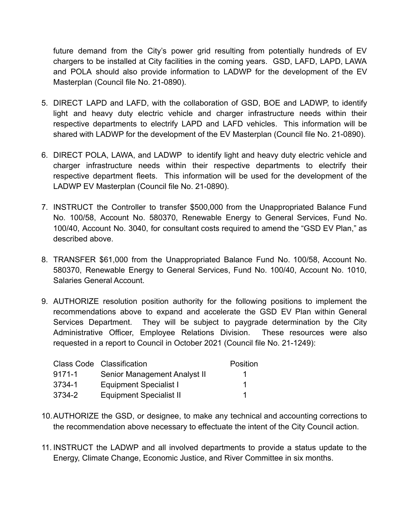future demand from the City's power grid resulting from potentially hundreds of EV chargers to be installed at City facilities in the coming years. GSD, LAFD, LAPD, LAWA and POLA should also provide information to LADWP for the development of the EV Masterplan (Council file No. 21-0890).

- 5. DIRECT LAPD and LAFD, with the collaboration of GSD, BOE and LADWP, to identify light and heavy duty electric vehicle and charger infrastructure needs within their respective departments to electrify LAPD and LAFD vehicles. This information will be shared with LADWP for the development of the EV Masterplan (Council file No. 21-0890).
- 6. DIRECT POLA, LAWA, and LADWP to identify light and heavy duty electric vehicle and charger infrastructure needs within their respective departments to electrify their respective department fleets. This information will be used for the development of the LADWP EV Masterplan (Council file No. 21-0890).
- 7. INSTRUCT the Controller to transfer \$500,000 from the Unappropriated Balance Fund No. 100/58, Account No. 580370, Renewable Energy to General Services, Fund No. 100/40, Account No. 3040, for consultant costs required to amend the "GSD EV Plan," as described above.
- 8. TRANSFER \$61,000 from the Unappropriated Balance Fund No. 100/58, Account No. 580370, Renewable Energy to General Services, Fund No. 100/40, Account No. 1010, Salaries General Account.
- 9. AUTHORIZE resolution position authority for the following positions to implement the recommendations above to expand and accelerate the GSD EV Plan within General Services Department. They will be subject to paygrade determination by the City Administrative Officer, Employee Relations Division. These resources were also requested in a report to Council in October 2021 (Council file No. 21-1249):

|            | <b>Class Code Classification</b> | Position |
|------------|----------------------------------|----------|
| $9171 - 1$ | Senior Management Analyst II     |          |
| 3734-1     | Equipment Specialist I           |          |
| 3734-2     | <b>Equipment Specialist II</b>   |          |

- 10.AUTHORIZE the GSD, or designee, to make any technical and accounting corrections to the recommendation above necessary to effectuate the intent of the City Council action.
- 11. INSTRUCT the LADWP and all involved departments to provide a status update to the Energy, Climate Change, Economic Justice, and River Committee in six months.